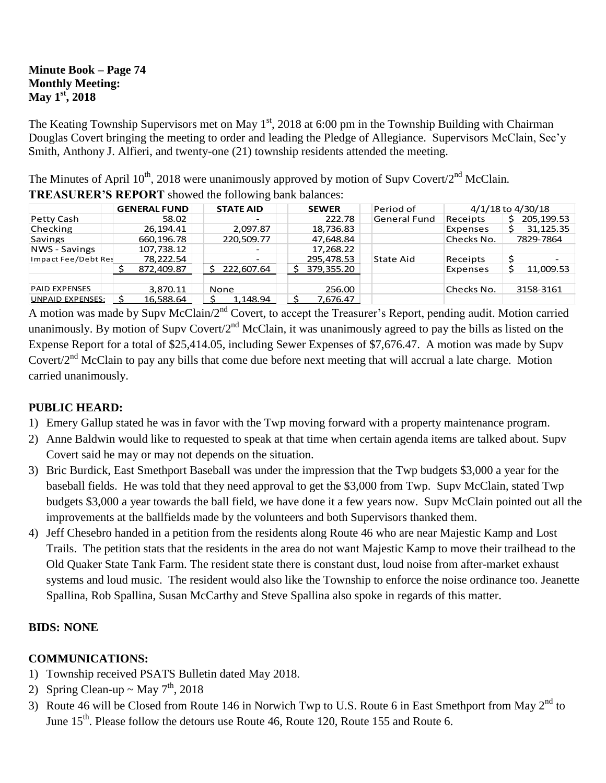#### **Minute Book – Page 74 Monthly Meeting: May 1st, 2018**

The Keating Township Supervisors met on May  $1<sup>st</sup>$ , 2018 at 6:00 pm in the Township Building with Chairman Douglas Covert bringing the meeting to order and leading the Pledge of Allegiance. Supervisors McClain, Sec'y Smith, Anthony J. Alfieri, and twenty-one (21) township residents attended the meeting.

The Minutes of April  $10^{th}$ , 2018 were unanimously approved by motion of Supv Covert/2<sup>nd</sup> McClain.

|                         | <b>GENERAL FUND</b> | <b>STATE AID</b>         |  | <b>SEWER</b> | Period of           | 4/1/18 to 4/30/18 |                          |
|-------------------------|---------------------|--------------------------|--|--------------|---------------------|-------------------|--------------------------|
| Petty Cash              | 58.02               |                          |  | 222.78       | <b>General Fund</b> | Receipts          | 205, 199.53              |
| Checking                | 26.194.41           | 2.097.87                 |  | 18,736.83    |                     | Expenses          | 31,125.35                |
| <b>Savings</b>          | 660,196.78          | 220,509.77               |  | 47,648.84    |                     | Checks No.        | 7829-7864                |
| <b>NWS</b> - Savings    | 107,738.12          | $\overline{\phantom{0}}$ |  | 17,268.22    |                     |                   |                          |
| Impact Fee/Debt Res     | 78,222.54           | $\overline{\phantom{0}}$ |  | 295,478.53   | State Aid           | Receipts          | $\overline{\phantom{0}}$ |
|                         | 872,409.87          | 222,607.64               |  | 379,355.20   |                     | Expenses          | 11,009.53                |
|                         |                     |                          |  |              |                     |                   |                          |
| <b>PAID EXPENSES</b>    | 3,870.11            | None                     |  | 256.00       |                     | Checks No.        | 3158-3161                |
| <b>UNPAID EXPENSES:</b> | 16,588.64           | 1.148.94                 |  | 7,676.47     |                     |                   |                          |

**TREASURER'S REPORT** showed the following bank balances:

A motion was made by Supv McClain/2<sup>nd</sup> Covert, to accept the Treasurer's Report, pending audit. Motion carried unanimously. By motion of Supv Covert/ $2<sup>nd</sup>$  McClain, it was unanimously agreed to pay the bills as listed on the Expense Report for a total of \$25,414.05, including Sewer Expenses of \$7,676.47. A motion was made by Supv Covert/2<sup>nd</sup> McClain to pay any bills that come due before next meeting that will accrual a late charge. Motion carried unanimously.

## **PUBLIC HEARD:**

- 1) Emery Gallup stated he was in favor with the Twp moving forward with a property maintenance program.
- 2) Anne Baldwin would like to requested to speak at that time when certain agenda items are talked about. Supv Covert said he may or may not depends on the situation.
- 3) Bric Burdick, East Smethport Baseball was under the impression that the Twp budgets \$3,000 a year for the baseball fields. He was told that they need approval to get the \$3,000 from Twp. Supv McClain, stated Twp budgets \$3,000 a year towards the ball field, we have done it a few years now. Supv McClain pointed out all the improvements at the ballfields made by the volunteers and both Supervisors thanked them.
- 4) Jeff Chesebro handed in a petition from the residents along Route 46 who are near Majestic Kamp and Lost Trails. The petition stats that the residents in the area do not want Majestic Kamp to move their trailhead to the Old Quaker State Tank Farm. The resident state there is constant dust, loud noise from after-market exhaust systems and loud music. The resident would also like the Township to enforce the noise ordinance too. Jeanette Spallina, Rob Spallina, Susan McCarthy and Steve Spallina also spoke in regards of this matter.

## **BIDS: NONE**

## **COMMUNICATIONS:**

- 1) Township received PSATS Bulletin dated May 2018.
- 2) Spring Clean-up ~ May  $7<sup>th</sup>$ , 2018
- 3) Route 46 will be Closed from Route 146 in Norwich Twp to U.S. Route 6 in East Smethport from May 2<sup>nd</sup> to June 15<sup>th</sup>. Please follow the detours use Route 46, Route 120, Route 155 and Route 6.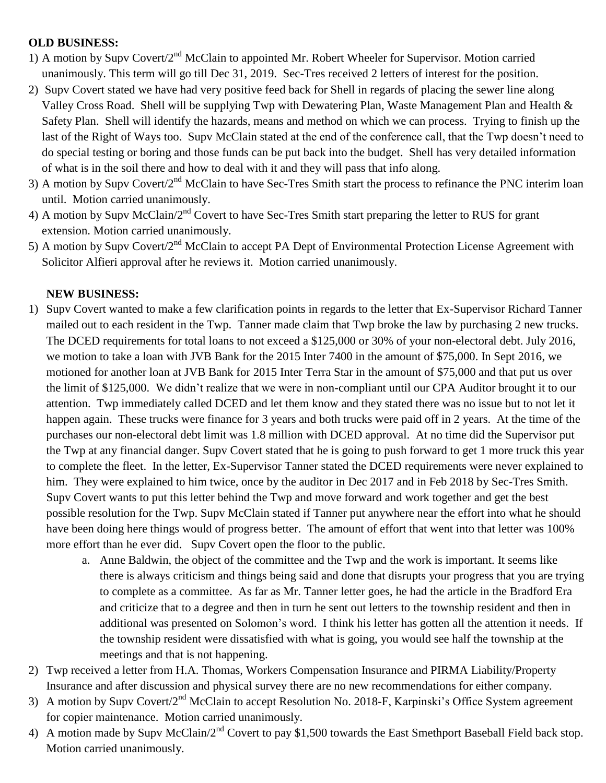## **OLD BUSINESS:**

- 1) A motion by Supv Covert/2nd McClain to appointed Mr. Robert Wheeler for Supervisor. Motion carried unanimously. This term will go till Dec 31, 2019. Sec-Tres received 2 letters of interest for the position.
- 2) Supv Covert stated we have had very positive feed back for Shell in regards of placing the sewer line along Valley Cross Road. Shell will be supplying Twp with Dewatering Plan, Waste Management Plan and Health & Safety Plan. Shell will identify the hazards, means and method on which we can process. Trying to finish up the last of the Right of Ways too. Supv McClain stated at the end of the conference call, that the Twp doesn't need to do special testing or boring and those funds can be put back into the budget. Shell has very detailed information of what is in the soil there and how to deal with it and they will pass that info along.
- 3) A motion by Supv Covert/2<sup>nd</sup> McClain to have Sec-Tres Smith start the process to refinance the PNC interim loan until. Motion carried unanimously.
- 4) A motion by Supv McClain/2<sup>nd</sup> Covert to have Sec-Tres Smith start preparing the letter to RUS for grant extension. Motion carried unanimously.
- 5) A motion by Supv Covert/2<sup>nd</sup> McClain to accept PA Dept of Environmental Protection License Agreement with Solicitor Alfieri approval after he reviews it. Motion carried unanimously.

# **NEW BUSINESS:**

- 1) Supv Covert wanted to make a few clarification points in regards to the letter that Ex-Supervisor Richard Tanner mailed out to each resident in the Twp. Tanner made claim that Twp broke the law by purchasing 2 new trucks. The DCED requirements for total loans to not exceed a \$125,000 or 30% of your non-electoral debt. July 2016, we motion to take a loan with JVB Bank for the 2015 Inter 7400 in the amount of \$75,000. In Sept 2016, we motioned for another loan at JVB Bank for 2015 Inter Terra Star in the amount of \$75,000 and that put us over the limit of \$125,000. We didn't realize that we were in non-compliant until our CPA Auditor brought it to our attention. Twp immediately called DCED and let them know and they stated there was no issue but to not let it happen again. These trucks were finance for 3 years and both trucks were paid off in 2 years. At the time of the purchases our non-electoral debt limit was 1.8 million with DCED approval. At no time did the Supervisor put the Twp at any financial danger. Supv Covert stated that he is going to push forward to get 1 more truck this year to complete the fleet. In the letter, Ex-Supervisor Tanner stated the DCED requirements were never explained to him. They were explained to him twice, once by the auditor in Dec 2017 and in Feb 2018 by Sec-Tres Smith. Supv Covert wants to put this letter behind the Twp and move forward and work together and get the best possible resolution for the Twp. Supv McClain stated if Tanner put anywhere near the effort into what he should have been doing here things would of progress better. The amount of effort that went into that letter was 100% more effort than he ever did. Supv Covert open the floor to the public.
	- a. Anne Baldwin, the object of the committee and the Twp and the work is important. It seems like there is always criticism and things being said and done that disrupts your progress that you are trying to complete as a committee. As far as Mr. Tanner letter goes, he had the article in the Bradford Era and criticize that to a degree and then in turn he sent out letters to the township resident and then in additional was presented on Solomon's word. I think his letter has gotten all the attention it needs. If the township resident were dissatisfied with what is going, you would see half the township at the meetings and that is not happening.
- 2) Twp received a letter from H.A. Thomas, Workers Compensation Insurance and PIRMA Liability/Property Insurance and after discussion and physical survey there are no new recommendations for either company.
- 3) A motion by Supv Covert/2<sup>nd</sup> McClain to accept Resolution No. 2018-F, Karpinski's Office System agreement for copier maintenance. Motion carried unanimously.
- 4) A motion made by Supv McClain/2<sup>nd</sup> Covert to pay \$1,500 towards the East Smethport Baseball Field back stop. Motion carried unanimously.